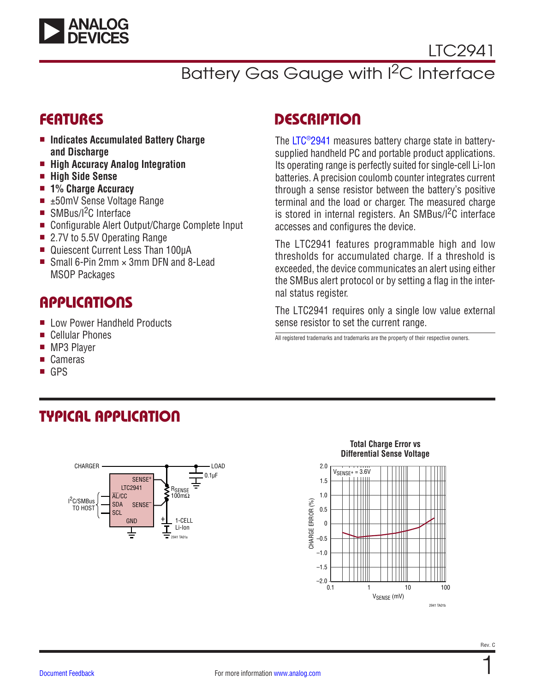

# Battery Gas Gauge with I<sup>2</sup>C Interface

### FEATURES

- Indicates Accumulated Battery Charge **and Discharge**
- <sup>n</sup> **High Accuracy Analog Integration**
- <sup>n</sup> **High Side Sense**
- 1% Charge Accuracy
- $\blacksquare$   $\pm$ 50mV Sense Voltage Range
- $\blacksquare$  SMBus/I<sup>2</sup>C Interface
- Configurable Alert Output/Charge Complete Input
- 2.7V to 5.5V Operating Range
- Quiescent Current Less Than 100µA
- Small 6-Pin 2mm  $\times$  3mm DFN and 8-Lead MSOP Packages

## **APPLICATIONS**

- **E** Low Power Handheld Products
- Cellular Phones
- MP3 Player
- **Cameras**
- **GPS**

# **DESCRIPTION**

The [LTC®2941](https://www.analog.com/LTC2941?doc=LTC2941.pdf) measures battery charge state in batterysupplied handheld PC and portable product applications. Its operating range is perfectly suited for single-cell Li-Ion batteries. A precision coulomb counter integrates current through a sense resistor between the battery's positive terminal and the load or charger. The measured charge is stored in internal registers. An SMBus/I<sup>2</sup>C interface accesses and configures the device.

The LTC2941 features programmable high and low thresholds for accumulated charge. If a threshold is exceeded, the device communicates an alert using either the SMBus alert protocol or by setting a flag in the internal status register.

The LTC2941 requires only a single low value external sense resistor to set the current range.

All registered trademarks and trademarks are the property of their respective owners.

# TYPICAL APPLICATION



#### **Total Charge Error vs Differential Sense Voltage**

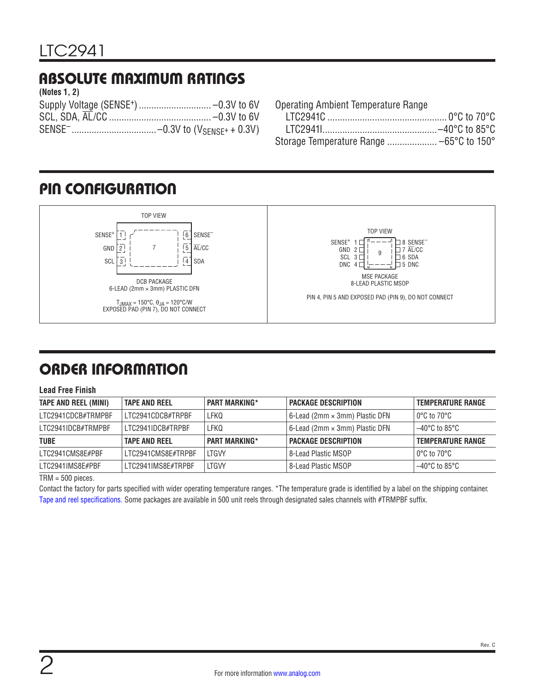## ABSOLUTE MAXIMUM RATINGS

| (Notes 1, 2) |  |
|--------------|--|
|              |  |
|              |  |
|              |  |

Operating Ambient Temperature Range

## <span id="page-1-0"></span>PIN CONFIGURATION



# ORDER INFORMATION

#### **Lead Free Finish**

| <b>TAPE AND REEL (MINI)</b> | <b>TAPE AND REEL</b> | <b>PART MARKING*</b> | <b>PACKAGE DESCRIPTION</b>            | <b>TEMPERATURE RANGE</b> |
|-----------------------------|----------------------|----------------------|---------------------------------------|--------------------------|
| LTC2941CDCB#TRMPBF          | I TC2941CDCB#TRPBF   | LFKQ                 | 6-Lead (2mm × 3mm) Plastic DFN        | l 0°C to 70°C l          |
| LTC2941IDCB#TRMPBF          | LTC2941IDCB#TRPBF    | LFKQ                 | 6-Lead (2mm $\times$ 3mm) Plastic DFN | l –40°C to 85°C          |
| <b>TUBE</b>                 | <b>TAPE AND REEL</b> | <b>PART MARKING*</b> | <b>PACKAGE DESCRIPTION</b>            | <b>TEMPERATURE RANGE</b> |
| LTC2941CMS8E#PBF            | LTC2941CMS8E#TRPBF   | <b>ITGVY</b>         | 8-Lead Plastic MSOP                   | l 0°C to 70°C l          |
| LTC2941IMS8E#PBF            | LTC2941IMS8E#TRPBF   | LTGW                 | 8-Lead Plastic MSOP                   | $-40^{\circ}$ C to 85°C  |

TRM = 500 pieces.

Contact the factory for parts specified with wider operating temperature ranges. \*The temperature grade is identified by a label on the shipping container. [Tape and reel specifications](https://www.analog.com/media/en/package-pcb-resources/package/tape-reel-rev-n.pdf). Some packages are available in 500 unit reels through designated sales channels with #TRMPBF suffix.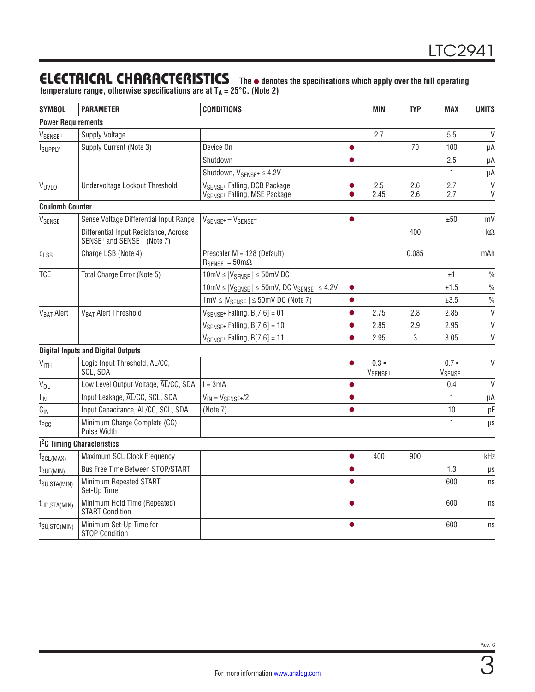### **ELECTRICAL CHARACTERISTICS** The  $\bullet$  denotes the specifications which apply over the full operating

**temperature range, otherwise specifications are at TA = 25°C. (Note 2)**

| <b>SYMBOL</b>             | <b>PARAMETER</b>                                                                            | <b>CONDITIONS</b>                                                                     |           | <b>MIN</b>                           | <b>TYP</b> | <b>MAX</b>                           | <b>UNITS</b>     |
|---------------------------|---------------------------------------------------------------------------------------------|---------------------------------------------------------------------------------------|-----------|--------------------------------------|------------|--------------------------------------|------------------|
| <b>Power Requirements</b> |                                                                                             |                                                                                       |           |                                      |            |                                      |                  |
| V <sub>SENSE+</sub>       | <b>Supply Voltage</b>                                                                       |                                                                                       |           | 2.7                                  |            | 5.5                                  | $\vee$           |
| ISUPPLY                   | Supply Current (Note 3)                                                                     | Device On                                                                             |           |                                      | 70         | 100                                  | μA               |
|                           |                                                                                             | Shutdown                                                                              | $\bullet$ |                                      |            | 2.5                                  | μA               |
|                           |                                                                                             | Shutdown, $V_{SENSF^+} \leq 4.2V$                                                     |           |                                      |            | $\mathbf{1}$                         | μA               |
| VUVLO                     | Undervoltage Lockout Threshold                                                              | VSENSE+ Falling, DCB Package<br>V <sub>SENSE</sub> + Falling, MSE Package             |           | 2.5<br>2.45                          | 2.6<br>2.6 | 2.7<br>2.7                           | $\vee$<br>$\vee$ |
| <b>Coulomb Counter</b>    |                                                                                             |                                                                                       |           |                                      |            |                                      |                  |
| VSENSE                    | Sense Voltage Differential Input Range                                                      | $V_{\text{SENSE}^+} - V_{\text{SENSE}^-}$                                             |           |                                      |            | ±50                                  | mV               |
|                           | Differential Input Resistance, Across<br>SENSE <sup>+</sup> and SENSE <sup>-</sup> (Note 7) |                                                                                       |           |                                      | 400        |                                      | $k\Omega$        |
| $q_{LSB}$                 | Charge LSB (Note 4)                                                                         | Prescaler M = 128 (Default),<br>$R_{\text{SENSE}} = 50 \text{m}\Omega$                |           |                                      | 0.085      |                                      | mAh              |
| <b>TCE</b>                | Total Charge Error (Note 5)                                                                 | $10mV \leq  V_{SENSE}  \leq 50mV$ DC                                                  |           |                                      |            | ±1                                   | $\frac{0}{0}$    |
|                           |                                                                                             | $10$ mV $\leq$  V <sub>SENSE</sub>   $\leq$ 50mV, DC V <sub>SENSE</sub> + $\leq$ 4.2V | $\bullet$ |                                      |            | ±1.5                                 | $\frac{0}{0}$    |
|                           |                                                                                             | $1mV \leq  V_{SENSE}  \leq 50mV$ DC (Note 7)                                          |           |                                      |            | ±3.5                                 | $\frac{0}{0}$    |
| V <sub>BAT</sub> Alert    | V <sub>BAT</sub> Alert Threshold                                                            | $V_{SENSE^+}$ Falling, $B[7:6] = 01$                                                  | e         | 2.75                                 | 2.8        | 2.85                                 | $\vee$           |
|                           |                                                                                             | $V_{SENSE^+}$ Falling, $B[7:6] = 10$                                                  |           | 2.85                                 | 2.9        | 2.95                                 | $\vee$           |
|                           |                                                                                             | $V_{SENSE^+}$ Falling, B[7:6] = 11                                                    |           | 2.95                                 | 3          | 3.05                                 | $\vee$           |
|                           | <b>Digital Inputs and Digital Outputs</b>                                                   |                                                                                       |           |                                      |            |                                      |                  |
| V <sub>ITH</sub>          | Logic Input Threshold, AL/CC,<br>SCL, SDA                                                   |                                                                                       |           | $0.3 \bullet$<br>V <sub>SENSE+</sub> |            | $0.7 \bullet$<br>V <sub>SENSE+</sub> | $\vee$           |
| V <sub>OL</sub>           | Low Level Output Voltage, AL/CC, SDA                                                        | $l = 3mA$                                                                             | $\bullet$ |                                      |            | 0.4                                  | V                |
| I <sub>IN</sub>           | Input Leakage, AL/CC, SCL, SDA                                                              | $V_{IN} = V_{SENSE}$ +/2                                                              | $\bullet$ |                                      |            | $\mathbf{1}$                         | μA               |
| $C_{\text{IN}}$           | Input Capacitance, AL/CC, SCL, SDA                                                          | (Note 7)                                                                              | $\bullet$ |                                      |            | 10                                   | pF               |
| t <sub>PCC</sub>          | Minimum Charge Complete (CC)<br>Pulse Width                                                 |                                                                                       |           |                                      |            | 1                                    | μs               |
|                           | <sup>2</sup> C Timing Characteristics                                                       |                                                                                       |           |                                      |            |                                      |                  |
| $f_{SCL(MAX)}$            | Maximum SCL Clock Frequency                                                                 |                                                                                       | $\bullet$ | 400                                  | 900        |                                      | kHz              |
| $t_{BUF(MIN)}$            | Bus Free Time Between STOP/START                                                            |                                                                                       | $\bullet$ |                                      |            | 1.3                                  | $\mu s$          |
| $t_{\text{SU,STA(MIN)}}$  | Minimum Repeated START<br>Set-Up Time                                                       |                                                                                       |           |                                      |            | 600                                  | ns               |
| $t_{HD,STA(MIN)}$         | Minimum Hold Time (Repeated)<br><b>START Condition</b>                                      |                                                                                       | $\bullet$ |                                      |            | 600                                  | ns               |
| $t_{\text{SU,STO(MIN)}}$  | Minimum Set-Up Time for<br><b>STOP Condition</b>                                            |                                                                                       |           |                                      |            | 600                                  | ns               |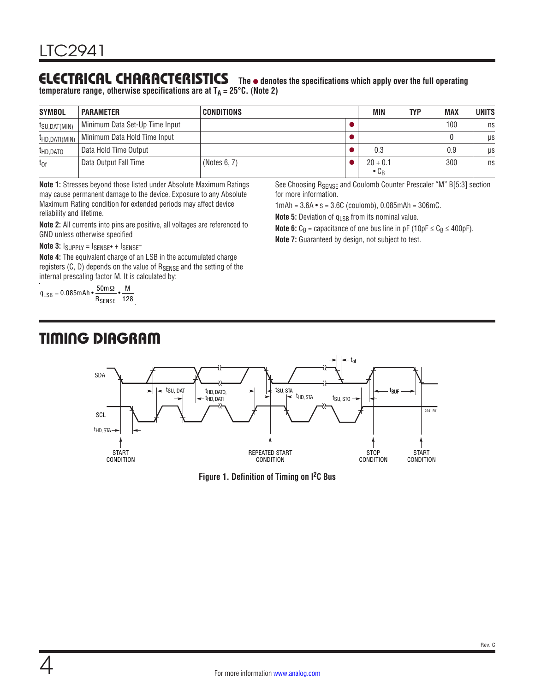#### **ELECTRICAL CHARACTERISTICS** The  $\bullet$  denotes the specifications which apply over the full operating **temperature range, otherwise specifications are at TA = 25°C. (Note 2)**

| <b>SYMBOL</b>             | <b>PARAMETER</b>               | <b>CONDITIONS</b> | MIN                                    | TYP | MAX | <b>UNITS</b> |
|---------------------------|--------------------------------|-------------------|----------------------------------------|-----|-----|--------------|
| <sup>I</sup> SU, DAT(MIN) | Minimum Data Set-Up Time Input |                   |                                        |     | 100 | ns           |
| $t_{HD, DATI(MIN)}$       | Minimum Data Hold Time Input   |                   |                                        |     |     | μs           |
| <sup>T</sup> HD, DATO     | Data Hold Time Output          |                   | 0.3                                    |     | 0.9 | μs           |
| $t_{0f}$                  | Data Output Fall Time          | (Notes $6, 7$ )   | $20 + 0.1$<br>$\bullet$ C <sub>B</sub> |     | 300 | ns           |

**Note 1:** Stresses beyond those listed under Absolute Maximum Ratings may cause permanent damage to the device. Exposure to any Absolute Maximum Rating condition for extended periods may affect device reliability and lifetime.

**Note 2:** All currents into pins are positive, all voltages are referenced to GND unless otherwise specified

Note  $3:$   $I_{\text{SUPPLY}} = I_{\text{SENSE}^+} + I_{\text{SENSE}^-}$ 

**Note 4:** The equivalent charge of an LSB in the accumulated charge registers  $(C, D)$  depends on the value of  $R_{SENSE}$  and the setting of the internal prescaling factor M. It is calculated by:

 $\rm q_{LSB} = 0.085$ mAh • $\frac{\rm 50 m\Omega}{\rm R_{SENSE}}$  $\cdot \frac{M}{128}$ 

## TIMING DIAGRAM

See Choosing R<sub>SENSE</sub> and Coulomb Counter Prescaler "M" B[5:3] section for more information.

1mAh =  $3.6A \cdot s = 3.6C$  (coulomb),  $0.085$ mAh =  $306$ mC.

**Note 5:** Deviation of q<sub>LSB</sub> from its nominal value.

**Note 6:**  $C_B$  = capacitance of one bus line in pF (10pF  $\leq C_B \leq 400$ pF).

**Note 7:** Guaranteed by design, not subject to test.



**Figure 1. Definition of Timing on I2C Bus**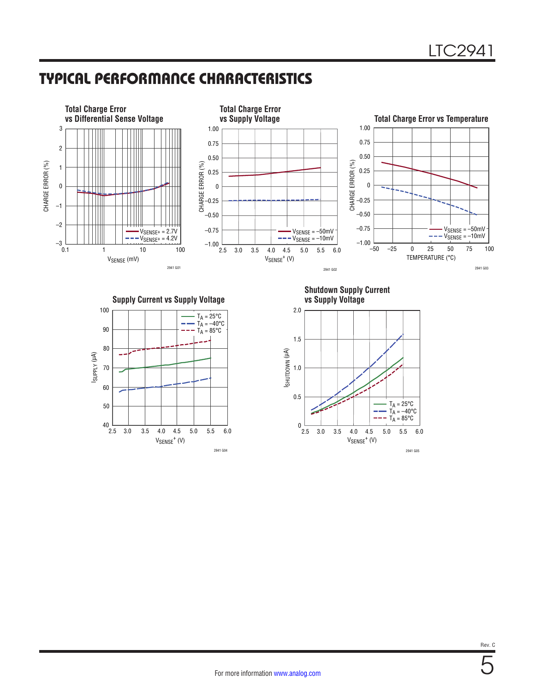### TYPICAL PERFORMANCE CHARACTERISTICS



2941 G04

2941 G05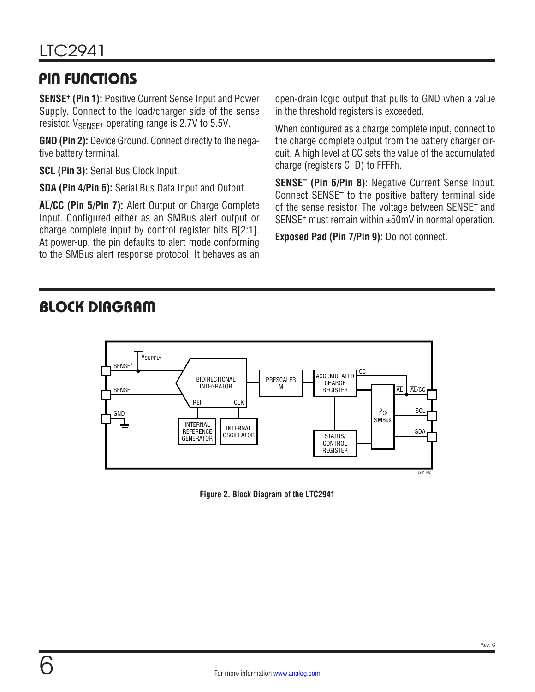## <span id="page-5-0"></span>PIN FUNCTIONS

**SENSE+ (Pin 1):** Positive Current Sense Input and Power Supply. Connect to the load/charger side of the sense resistor.  $V_{\text{SENSF}}$ + operating range is 2.7V to 5.5V.

**GND (Pin 2):** Device Ground. Connect directly to the negative battery terminal.

**SCL (Pin 3):** Serial Bus Clock Input.

**SDA (Pin 4/Pin 6):** Serial Bus Data Input and Output.

**AL/CC (Pin 5/Pin 7):** Alert Output or Charge Complete Input. Configured either as an SMBus alert output or charge complete input by control register bits B[2:1]. At power-up, the pin defaults to alert mode conforming to the SMBus alert response protocol. It behaves as an open-drain logic output that pulls to GND when a value in the threshold registers is exceeded.

When configured as a charge complete input, connect to the charge complete output from the battery charger circuit. A high level at CC sets the value of the accumulated charge (registers C, D) to FFFFh.

**SENSE– (Pin 6/Pin 8):** Negative Current Sense Input. Connect SENSE– to the positive battery terminal side of the sense resistor. The voltage between SENSE– and SENSE+ must remain within ±50mV in normal operation.

**Exposed Pad (Pin 7/Pin 9):** Do not connect.

## BLOCK DIAGRAM



**Figure 2. Block Diagram of the LTC2941**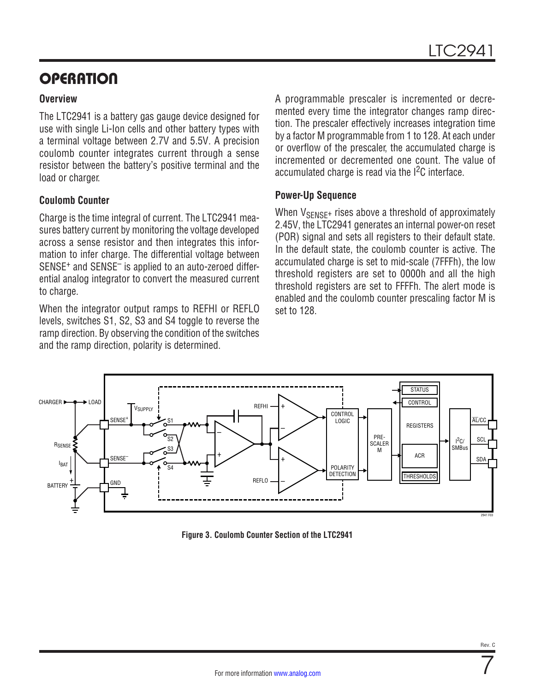# **OPERATION**

#### **Overview**

The LTC2941 is a battery gas gauge device designed for use with single Li-Ion cells and other battery types with a terminal voltage between 2.7V and 5.5V. A precision coulomb counter integrates current through a sense resistor between the battery's positive terminal and the load or charger.

#### **Coulomb Counter**

Charge is the time integral of current. The LTC2941 measures battery current by monitoring the voltage developed across a sense resistor and then integrates this information to infer charge. The differential voltage between SENSE+ and SENSE– is applied to an auto-zeroed differential analog integrator to convert the measured current to charge.

When the integrator output ramps to REFHI or REFLO levels, switches S1, S2, S3 and S4 toggle to reverse the ramp direction. By observing the condition of the switches and the ramp direction, polarity is determined.

A programmable prescaler is incremented or decremented every time the integrator changes ramp direction. The prescaler effectively increases integration time by a factor M programmable from 1 to 128. At each under or overflow of the prescaler, the accumulated charge is incremented or decremented one count. The value of accumulated charge is read via the  $12C$  interface.

#### **Power-Up Sequence**

When  $V_{\text{SENSF+}}$  rises above a threshold of approximately 2.45V, the LTC2941 generates an internal power-on reset (POR) signal and sets all registers to their default state. In the default state, the coulomb counter is active. The accumulated charge is set to mid-scale (7FFFh), the low threshold registers are set to 0000h and all the high threshold registers are set to FFFFh. The alert mode is enabled and the coulomb counter prescaling factor M is set to 128.



**Figure 3. Coulomb Counter Section of the LTC2941**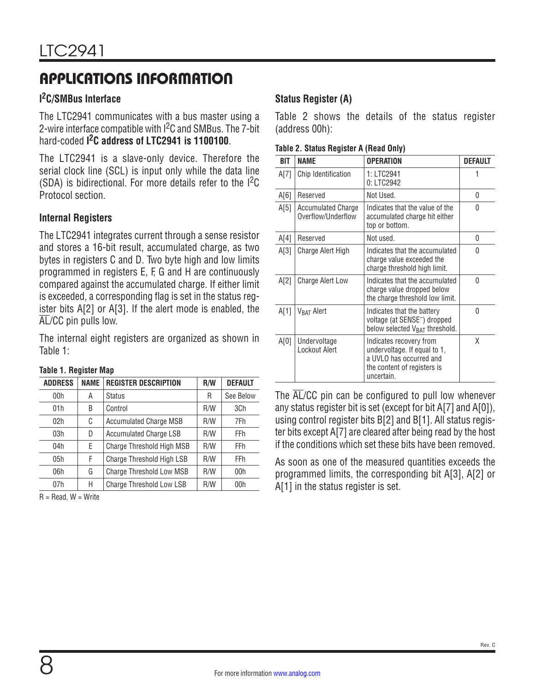### **I 2C/SMBus Interface**

The LTC2941 communicates with a bus master using a 2-wire interface compatible with <sup>2</sup>C and SMBus. The 7-bit hard-coded **I 2C address of LTC2941 is 1100100**.

The LTC2941 is a slave-only device. Therefore the serial clock line (SCL) is input only while the data line (SDA) is bidirectional. For more details refer to the  $1^2C$  $1^2C$ [Protocol](#page-10-0) section.

#### **Internal Registers**

The LTC2941 integrates current through a sense resistor and stores a 16-bit result, accumulated charge, as two bytes in registers C and D. Two byte high and low limits programmed in registers E, F, G and H are continuously compared against the accumulated charge. If either limit is exceeded, a corresponding flag is set in the status register bits A[2] or A[3]. If the alert mode is enabled, the AL/CC pin pulls low.

The internal eight registers are organized as shown in [Table 1:](#page-7-0)

| <b>ADDRESS</b> | <b>NAME</b> | <b>REGISTER DESCRIPTION</b>   | R/W | <b>DEFAULT</b> |  |  |  |
|----------------|-------------|-------------------------------|-----|----------------|--|--|--|
| 00h            | Α           | <b>Status</b>                 | R   | See Below      |  |  |  |
| 01 h           | B           | Control                       | R/W | 3Ch            |  |  |  |
| 02h            | C           | <b>Accumulated Charge MSB</b> | R/W | 7Fh            |  |  |  |
| 03h            | D           | <b>Accumulated Charge LSB</b> | R/W | <b>FFh</b>     |  |  |  |
| 04h            | E           | Charge Threshold High MSB     | R/W | <b>FFh</b>     |  |  |  |
| 05h            | F           | Charge Threshold High LSB     | R/W | <b>FFh</b>     |  |  |  |
| 06h            | G           | Charge Threshold Low MSB      | R/W | 00h            |  |  |  |
| 07h            | Н           | Charge Threshold Low LSB      | R/W | 00h            |  |  |  |
|                |             |                               |     |                |  |  |  |

#### <span id="page-7-0"></span>**Table 1. Register Map**

 $R = Read$ .  $W = Write$ 

### **Status Register (A)**

[Table 2](#page-7-1) shows the details of the status register (address 00h):

<span id="page-7-1"></span>

| <b>BIT</b> | <b>NAME</b>                                     | <b>OPERATION</b>                                                                                                                | <b>DEFAULT</b> |
|------------|-------------------------------------------------|---------------------------------------------------------------------------------------------------------------------------------|----------------|
| A[7]       | Chip Identification                             | 1: LTC2941<br>0: LTC2942                                                                                                        |                |
| A[6]       | Reserved                                        | Not Used.                                                                                                                       | 0              |
| A[5]       | <b>Accumulated Charge</b><br>Overflow/Underflow | Indicates that the value of the<br>accumulated charge hit either<br>top or bottom.                                              | 0              |
| A[4]       | Reserved                                        | Not used.                                                                                                                       | 0              |
| A[3]       | Charge Alert High                               | Indicates that the accumulated<br>charge value exceeded the<br>charge threshold high limit.                                     | 0              |
| A[2]       | <b>Charge Alert Low</b>                         | Indicates that the accumulated<br>charge value dropped below<br>the charge threshold low limit.                                 | $\Omega$       |
| A[1]       | V <sub>BAT</sub> Alert                          | Indicates that the battery<br>voltage (at SENSE <sup>-</sup> ) dropped<br>below selected V <sub>BAT</sub> threshold.            | $\Omega$       |
| A[0]       | Undervoltage<br>Lockout Alert                   | Indicates recovery from<br>undervoltage. If equal to 1,<br>a UVLO has occurred and<br>the content of registers is<br>uncertain. | Χ              |

The AL/CC pin can be configured to pull low whenever any status register bit is set (except for bit A[7] and A[0]), using control register bits B[2] and B[1]. All status register bits except A[7] are cleared after being read by the host if the conditions which set these bits have been removed.

As soon as one of the measured quantities exceeds the programmed limits, the corresponding bit A[3], A[2] or A[1] in the status register is set.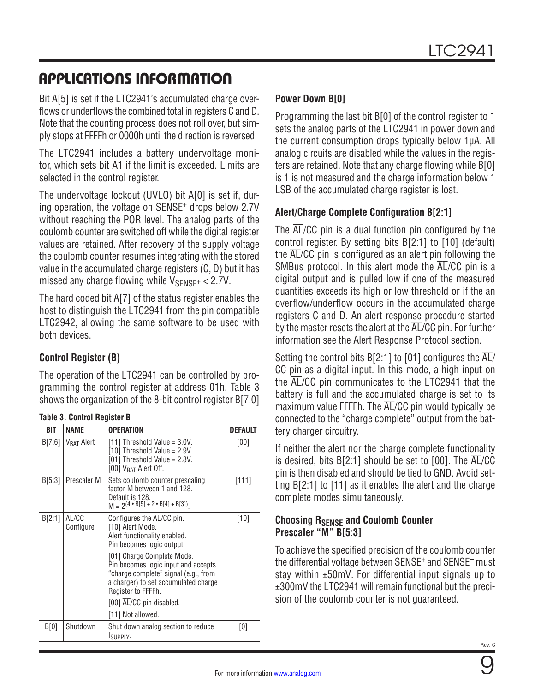Bit A[5] is set if the LTC2941's accumulated charge overflows or underflows the combined total in registers C and D. Note that the counting process does not roll over, but simply stops at FFFFh or 0000h until the direction is reversed.

The LTC2941 includes a battery undervoltage monitor, which sets bit A1 if the limit is exceeded. Limits are selected in the control register.

The undervoltage lockout (UVLO) bit A[0] is set if, during operation, the voltage on SENSE+ drops below 2.7V without reaching the POR level. The analog parts of the coulomb counter are switched off while the digital register values are retained. After recovery of the supply voltage the coulomb counter resumes integrating with the stored value in the accumulated charge registers (C, D) but it has missed any charge flowing while  $V_{\text{SENSF}} + < 2.7V$ .

The hard coded bit A[7] of the status register enables the host to distinguish the LTC2941 from the pin compatible LTC2942, allowing the same software to be used with both devices.

### **Control Register (B)**

The operation of the LTC2941 can be controlled by programming the control register at address 01h. [Table 3](#page-8-1) shows the organization of the 8-bit control register B[7:0]

<span id="page-8-1"></span>

|  | <b>Table 3. Control Register B</b> |  |
|--|------------------------------------|--|
|  |                                    |  |

| BIT    | <b>NAME</b>            | <b>OPERATION</b>                                                                                                                                                                                                                                                                                                                       | <b>DEFAULT</b> |  |  |  |  |  |  |
|--------|------------------------|----------------------------------------------------------------------------------------------------------------------------------------------------------------------------------------------------------------------------------------------------------------------------------------------------------------------------------------|----------------|--|--|--|--|--|--|
| B[7:6] | V <sub>RAT</sub> Alert | $[11]$ Threshold Value = 3.0V.<br>[10] Threshold Value = $2.9V$ .<br>[01] Threshold Value = 2.8V.<br>[00] $V_{BAT}$ Alert Off.                                                                                                                                                                                                         | [00]           |  |  |  |  |  |  |
| B[5:3] | Prescaler M            | Sets coulomb counter prescaling<br>factor M between 1 and 128.<br>Default is 128.<br>$M = 2(4 \cdot B[5] + 2 \cdot B[4] + B[3])$                                                                                                                                                                                                       | [111]          |  |  |  |  |  |  |
| B[2:1] | AL/CC<br>Configure     | Configures the AL/CC pin.<br>[10] Alert Mode.<br>Alert functionality enabled.<br>Pin becomes logic output.<br>[01] Charge Complete Mode.<br>Pin becomes logic input and accepts<br>"charge complete" signal (e.g., from<br>a charger) to set accumulated charge<br>Register to FFFFh.<br>[00] AL/CC pin disabled.<br>[11] Not allowed. | [10]           |  |  |  |  |  |  |
| B[0]   | Shutdown               | Shut down analog section to reduce<br>ISUPPLY.                                                                                                                                                                                                                                                                                         | [0]            |  |  |  |  |  |  |

### **Power Down B[0]**

Programming the last bit B[0] of the control register to 1 sets the analog parts of the LTC2941 in power down and the current consumption drops typically below 1µA. All analog circuits are disabled while the values in the registers are retained. Note that any charge flowing while B[0] is 1 is not measured and the charge information below 1 LSB of the accumulated charge register is lost.

### **Alert/Charge Complete Configuration B[2:1]**

The  $\overline{AL}/CC$  pin is a dual function pin configured by the control register. By setting bits B[2:1] to [10] (default) the AL/CC pin is configured as an alert pin following the SMBus protocol. In this alert mode the AL/CC pin is a digital output and is pulled low if one of the measured quantities exceeds its high or low threshold or if the an overflow/underflow occurs in the accumulated charge registers C and D. An alert response procedure started by the master resets the alert at the  $\overline{\text{AL}}$  /CC pin. For further information see the [Alert Response Protocol](#page-12-0) section.

Setting the control bits B[2:1] to [01] configures the  $\overline{AL}/$ CC pin as a digital input. In this mode, a high input on the AL/CC pin communicates to the LTC2941 that the battery is full and the accumulated charge is set to its maximum value FFFFh. The AL/CC pin would typically be connected to the "charge complete" output from the battery charger circuitry.

If neither the alert nor the charge complete functionality is desired, bits  $B[2:1]$  should be set to  $[00]$ . The  $\overline{AL}/CC$ pin is then disabled and should be tied to GND. Avoid setting B[2:1] to [11] as it enables the alert and the charge complete modes simultaneously.

#### <span id="page-8-0"></span>**Choosing RSENSE and Coulomb Counter Prescaler "M" B[5:3]**

To achieve the specified precision of the coulomb counter the differential voltage between SENSE<sup>+</sup> and SENSE<sup>-</sup> must stay within ±50mV. For differential input signals up to ±300mV the LTC2941 will remain functional but the precision of the coulomb counter is not guaranteed.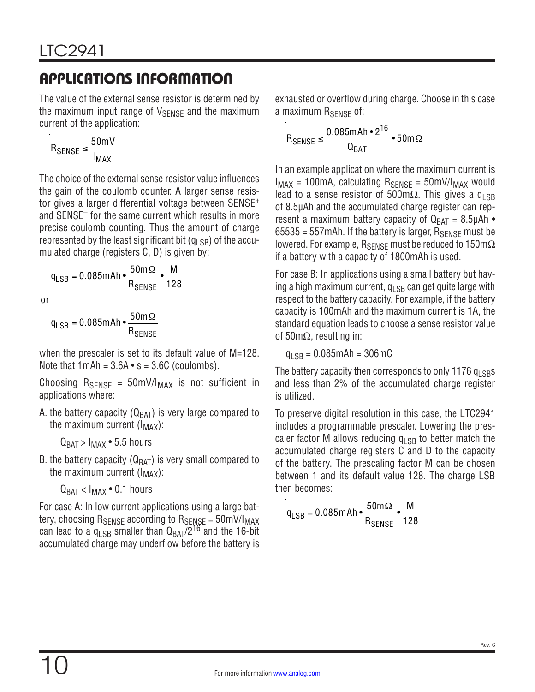The value of the external sense resistor is determined by the maximum input range of  $V_{\text{SENSE}}$  and the maximum current of the application:

$$
R_{\text{SENSE}} \le \frac{50 \text{mV}}{I_{\text{MAX}}}
$$

The choice of the external sense resistor value influences the gain of the coulomb counter. A larger sense resistor gives a larger differential voltage between SENSE<sup>+</sup> and SENSE– for the same current which results in more precise coulomb counting. Thus the amount of charge represented by the least significant bit  $(q_{LSB})$  of the accumulated charge (registers C, D) is given by:

$$
q_{LSB} = 0.085 \text{m} \text{Ah} \cdot \frac{50 \text{m} \Omega}{R_{SENSE}} \cdot \frac{M}{128}
$$

or

$$
q_{LSB} = 0.085 \text{m} \text{Ah} \cdot \frac{50 \text{m} \Omega}{R_{SENSE}}
$$

when the prescaler is set to its default value of M=128. Note that  $1 \text{ mA} = 3.6 \text{ A} \cdot \text{s} = 3.6 \text{ C}$  (coulombs).

Choosing  $R_{\text{SENSE}} = 50 \text{mV/I}_{\text{MAX}}$  is not sufficient in applications where:

A. the battery capacity ( $Q_{BAT}$ ) is very large compared to the maximum current  $(I_{MAX})$ :

 $Q_{\text{BAT}} > I_{\text{MAX}}$  • 5.5 hours

B. the battery capacity ( $Q_{BAT}$ ) is very small compared to the maximum current  $(I_{MAX})$ :

 $Q_{\text{BAT}} < I_{\text{MAX}} \cdot 0.1$  hours

For case A: In low current applications using a large battery, choosing  $R_{\text{SENSE}}$  according to  $R_{\text{SENSE}} = 50 \text{mV/l}_{\text{MAX}}$ can lead to a  $q_{LSB}$  smaller than  $Q_{BAT}/2^{16}$  and the 16-bit accumulated charge may underflow before the battery is exhausted or overflow during charge. Choose in this case a maximum R<sub>SENSE</sub> of:

$$
\mathsf{R}_{\mathsf{SENSE}} \leq \frac{0.085 \text{m} \mathsf{A} \mathsf{h} \cdot 2^{16}}{\mathsf{Q}_{\mathsf{BAT}}} \cdot 50 \text{m} \Omega
$$

In an example application where the maximum current is  $I_{MAX}$  = 100mA, calculating  $R_{SENSE}$  = 50mV/ $I_{MAX}$  would lead to a sense resistor of 500mΩ. This gives a q<sub>LSB</sub> of 8.5µAh and the accumulated charge register can represent a maximum battery capacity of  $Q_{BAT} = 8.5 \mu Ah$ 65535 = 557 mAh. If the battery is larger,  $R_{\text{SFNSF}}$  must be lowered. For example, R<sub>SENSE</sub> must be reduced to 150mΩ if a battery with a capacity of 1800mAh is used.

For case B: In applications using a small battery but having a high maximum current,  $q_{\rm LSB}$  can get quite large with respect to the battery capacity. For example, if the battery capacity is 100mAh and the maximum current is 1A, the standard equation leads to choose a sense resistor value of 50mΩ, resulting in:

 $q_{\text{LSB}} = 0.085 \text{ mA} \text{h} = 306 \text{m} \text{C}$ 

The battery capacity then corresponds to only 1176  $q<sub>L</sub>$  sps and less than 2% of the accumulated charge register is utilized.

To preserve digital resolution in this case, the LTC2941 includes a programmable prescaler. Lowering the prescaler factor M allows reducing  $q_{\text{LSB}}$  to better match the accumulated charge registers C and D to the capacity of the battery. The prescaling factor M can be chosen between 1 and its default value 128. The charge LSB then becomes:

$$
\text{q}_{\text{LSB}} = 0.085 \text{m} \text{Ah} \cdot \frac{50 \text{m} \Omega}{\text{R}_{\text{SENSE}}} \cdot \frac{\text{M}}{128}
$$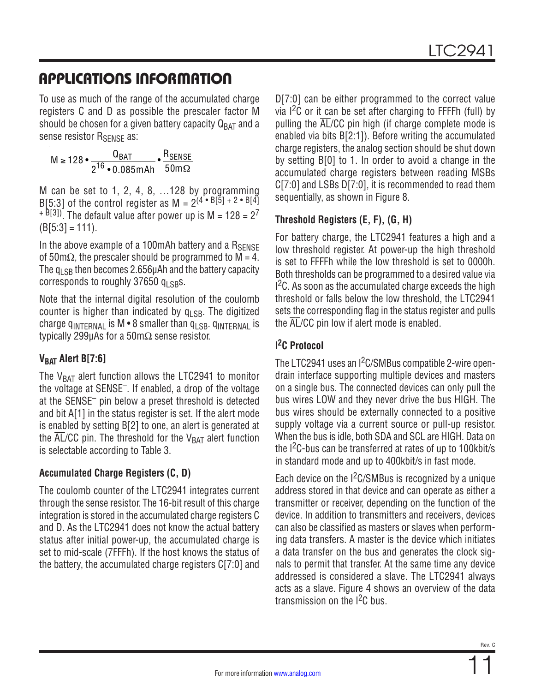To use as much of the range of the accumulated charge registers C and D as possible the prescaler factor M should be chosen for a given battery capacity  $Q_{BAT}$  and a sense resistor R<sub>SENSE</sub> as:

$$
M \ge 128 \cdot \frac{Q_{BAT}}{2^{16} \cdot 0.085 \text{mA} \cdot 50 \text{mA} \cdot 50 \text{mA}}
$$

M can be set to 1, 2, 4, 8, …128 by programming B[5:3] of the control register as  $M = 2^{(4 \cdot B[5] + 2 \cdot B[4]}$  $+$  <sup>B[3])</sup>. The default value after power up is M = 128 = 2<sup>7</sup>  $(B[5:3] = 111)$ .

In the above example of a 100mAh battery and a  $R_{\text{SFNSF}}$ of 50m $\Omega$ , the prescaler should be programmed to M = 4. The  $q_{LSB}$  then becomes 2.656µAh and the battery capacity corresponds to roughly 37650  $q_{\text{LSBS}}$ .

Note that the internal digital resolution of the coulomb counter is higher than indicated by  $q_{LSB}$ . The digitized charge  $q_{\text{INTERNA}}$  is M  $\bullet$  8 smaller than  $q_{\text{LSB}}$ .  $q_{\text{INTERNA}}$  is typically 299µAs for a 50m $\Omega$  sense resistor.

### **V<sub>BAT</sub>** Alert B[7:6]

The  $V_{BAT}$  alert function allows the LTC2941 to monitor the voltage at SENSE–. If enabled, a drop of the voltage at the SENSE– pin below a preset threshold is detected and bit A[1] in the status register is set. If the alert mode is enabled by setting B[2] to one, an alert is generated at the  $\overline{AL}/CC$  pin. The threshold for the  $V_{BAT}$  alert function is selectable according to [Table 3](#page-8-1).

### **Accumulated Charge Registers (C, D)**

The coulomb counter of the LTC2941 integrates current through the sense resistor. The 16-bit result of this charge integration is stored in the accumulated charge registers C and D. As the LTC2941 does not know the actual battery status after initial power-up, the accumulated charge is set to mid-scale (7FFFh). If the host knows the status of the battery, the accumulated charge registers C[7:0] and D[7:0] can be either programmed to the correct value via  $1^2C$  or it can be set after charging to FFFFh (full) by pulling the  $\overline{AL}/CC$  pin high (if charge complete mode is enabled via bits B[2:1]). Before writing the accumulated charge registers, the analog section should be shut down by setting B[0] to 1. In order to avoid a change in the accumulated charge registers between reading MSBs C[7:0] and LSBs D[7:0], it is recommended to read them sequentially, as shown in [Figure 8](#page-12-1).

### **Threshold Registers (E, F), (G, H)**

For battery charge, the LTC2941 features a high and a low threshold register. At power-up the high threshold is set to FFFFh while the low threshold is set to 0000h. Both thresholds can be programmed to a desired value via  $1<sup>2</sup>C$ . As soon as the accumulated charge exceeds the high threshold or falls below the low threshold, the LTC2941 sets the corresponding flag in the status register and pulls the AL/CC pin low if alert mode is enabled.

### <span id="page-10-0"></span>**I 2C Protocol**

The LTC2941 uses an I<sup>2</sup>C/SMBus compatible 2-wire opendrain interface supporting multiple devices and masters on a single bus. The connected devices can only pull the bus wires LOW and they never drive the bus HIGH. The bus wires should be externally connected to a positive supply voltage via a current source or pull-up resistor. When the bus is idle, both SDA and SCL are HIGH. Data on the I2C-bus can be transferred at rates of up to 100kbit/s in standard mode and up to 400kbit/s in fast mode.

Each device on the I<sup>2</sup>C/SMBus is recognized by a unique address stored in that device and can operate as either a transmitter or receiver, depending on the function of the device. In addition to transmitters and receivers, devices can also be classified as masters or slaves when performing data transfers. A master is the device which initiates a data transfer on the bus and generates the clock signals to permit that transfer. At the same time any device addressed is considered a slave. The LTC2941 always acts as a slave. [Figure 4](#page-11-0) shows an overview of the data transmission on the I2C bus.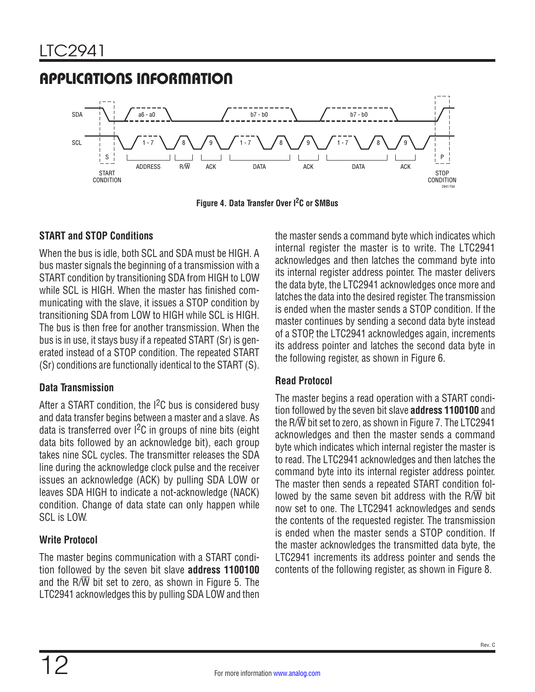

**Figure 4. Data Transfer Over I2C or SMBus**

### **START and STOP Conditions**

When the bus is idle, both SCL and SDA must be HIGH. A bus master signals the beginning of a transmission with a START condition by transitioning SDA from HIGH to LOW while SCL is HIGH. When the master has finished communicating with the slave, it issues a STOP condition by transitioning SDA from LOW to HIGH while SCL is HIGH. The bus is then free for another transmission. When the bus is in use, it stays busy if a repeated START (Sr) is generated instead of a STOP condition. The repeated START (Sr) conditions are functionally identical to the START (S).

### **Data Transmission**

After a START condition, the  $1^2C$  bus is considered busy and data transfer begins between a master and a slave. As data is transferred over  $1^2C$  in groups of nine bits (eight data bits followed by an acknowledge bit), each group takes nine SCL cycles. The transmitter releases the SDA line during the acknowledge clock pulse and the receiver issues an acknowledge (ACK) by pulling SDA LOW or leaves SDA HIGH to indicate a not-acknowledge (NACK) condition. Change of data state can only happen while SCL is LOW.

### **Write Protocol**

The master begins communication with a START condition followed by the seven bit slave **address 1100100** and the R/ $\overline{W}$  bit set to zero, as shown in [Figure 5.](#page-12-2) The LTC2941 acknowledges this by pulling SDA LOW and then <span id="page-11-0"></span>the master sends a command byte which indicates which internal register the master is to write. The LTC2941 acknowledges and then latches the command byte into its internal register address pointer. The master delivers the data byte, the LTC2941 acknowledges once more and latches the data into the desired register. The transmission is ended when the master sends a STOP condition. If the master continues by sending a second data byte instead of a STOP, the LTC2941 acknowledges again, increments its address pointer and latches the second data byte in the following register, as shown in [Figure 6](#page-12-3).

### **Read Protocol**

The master begins a read operation with a START condition followed by the seven bit slave **address 1100100** and the R/W bit set to zero, as shown in [Figure 7.](#page-12-4) The LTC2941 acknowledges and then the master sends a command byte which indicates which internal register the master is to read. The LTC2941 acknowledges and then latches the command byte into its internal register address pointer. The master then sends a repeated START condition followed by the same seven bit address with the  $R/\overline{W}$  bit now set to one. The LTC2941 acknowledges and sends the contents of the requested register. The transmission is ended when the master sends a STOP condition. If the master acknowledges the transmitted data byte, the LTC2941 increments its address pointer and sends the contents of the following register, as shown in [Figure 8](#page-12-1).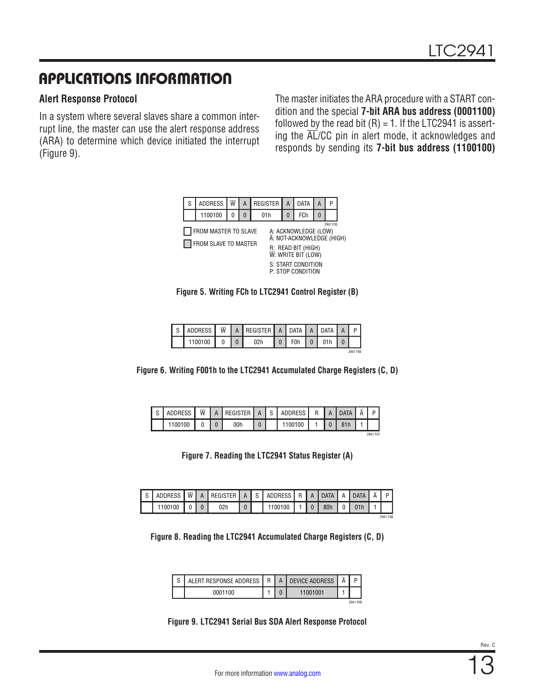#### <span id="page-12-0"></span>**Alert Response Protocol**

In a system where several slaves share a common interrupt line, the master can use the alert response address (ARA) to determine which device initiated the interrupt ([Figure 9](#page-12-5)).

The master initiates the ARA procedure with a START condition and the special **7-bit ARA bus address (0001100)** followed by the read bit  $(R) = 1$ . If the LTC2941 is asserting the AL/CC pin in alert mode, it acknowledges and responds by sending its **7-bit bus address (1100100)**



<span id="page-12-2"></span>

<span id="page-12-3"></span>

| $\mathbf{C}$ | ADDRESS | $\overline{w}$ | A REGISTER   A   DATA   A   DATA |                  |  | $\overline{A}$ |          |
|--------------|---------|----------------|----------------------------------|------------------|--|----------------|----------|
|              | 1100100 |                | 02h                              | F <sub>0</sub> h |  |                |          |
|              |         |                |                                  |                  |  |                | 2941 F06 |

|  |  | Figure 6. Writing F001h to the LTC2941 Accumulated Charge Registers (C, D) |  |  |  |
|--|--|----------------------------------------------------------------------------|--|--|--|
|--|--|----------------------------------------------------------------------------|--|--|--|

| $\sim$<br>v. | <b>ADDRESS</b> | $\overline{\mathsf{W}}$ | TER<br>н | $\sim$<br>◡ | ADDRESS | R | Δ | <b>DATA</b> | $\overline{A}$ | D        |
|--------------|----------------|-------------------------|----------|-------------|---------|---|---|-------------|----------------|----------|
|              | 100100         |                         | 00h      |             | 100     |   |   | 81h         |                |          |
|              |                |                         |          |             |         |   |   |             |                | 2941 F07 |

<span id="page-12-4"></span>**Figure 7. Reading the LTC2941 Status Register (A)**

|  | ADDRESS | $\overline{w}$ $\overline{u}$ | $\overline{A}$ | REGISTER   A | i S | ADDRESS R A DATA |  |     | A   DATA | $\overline{A}$ |          |
|--|---------|-------------------------------|----------------|--------------|-----|------------------|--|-----|----------|----------------|----------|
|  | 1100100 |                               |                | 02h          |     | 1100100          |  | 80h |          |                |          |
|  |         |                               |                |              |     |                  |  |     |          |                | 2941 F08 |

**Figure 8. Reading the LTC2941 Accumulated Charge Registers (C, D)**

<span id="page-12-1"></span>

| $\sim$ | ALERT RESPONSE ADDRESS | R | <b>DEVICE ADDRESS</b> | $\overline{K}$ | D        |
|--------|------------------------|---|-----------------------|----------------|----------|
|        | 0001100                |   | nn<br>11001           |                |          |
|        |                        |   |                       |                | 2941 F09 |

<span id="page-12-5"></span>**Figure 9. LTC2941 Serial Bus SDA Alert Response Protocol**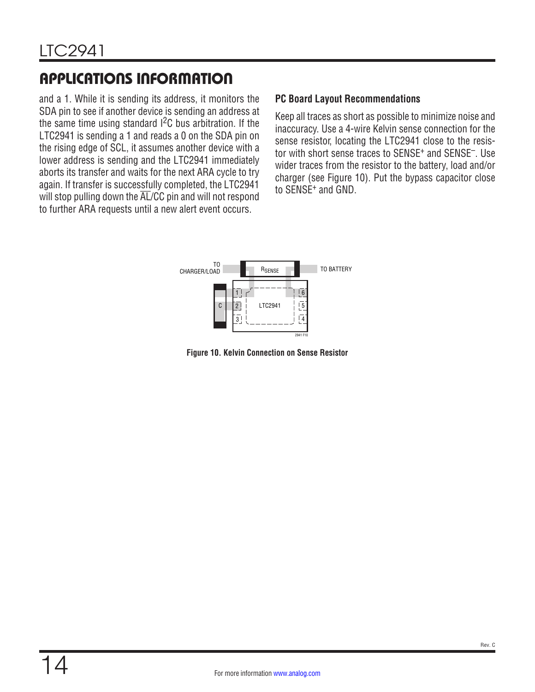and a 1. While it is sending its address, it monitors the SDA pin to see if another device is sending an address at the same time using standard  $I^2C$  bus arbitration. If the LTC2941 is sending a 1 and reads a 0 on the SDA pin on the rising edge of SCL, it assumes another device with a lower address is sending and the LTC2941 immediately aborts its transfer and waits for the next ARA cycle to try again. If transfer is successfully completed, the LTC2941 will stop pulling down the  $\overline{AL}/CC$  pin and will not respond to further ARA requests until a new alert event occurs.

#### **PC Board Layout Recommendations**

Keep all traces as short as possible to minimize noise and inaccuracy. Use a 4-wire Kelvin sense connection for the sense resistor, locating the LTC2941 close to the resistor with short sense traces to SENSE<sup>+</sup> and SENSE<sup>-</sup>. Use wider traces from the resistor to the battery, load and/or charger (see [Figure 10\)](#page-13-0). Put the bypass capacitor close to SENSE+ and GND.



<span id="page-13-0"></span>**Figure 10. Kelvin Connection on Sense Resistor**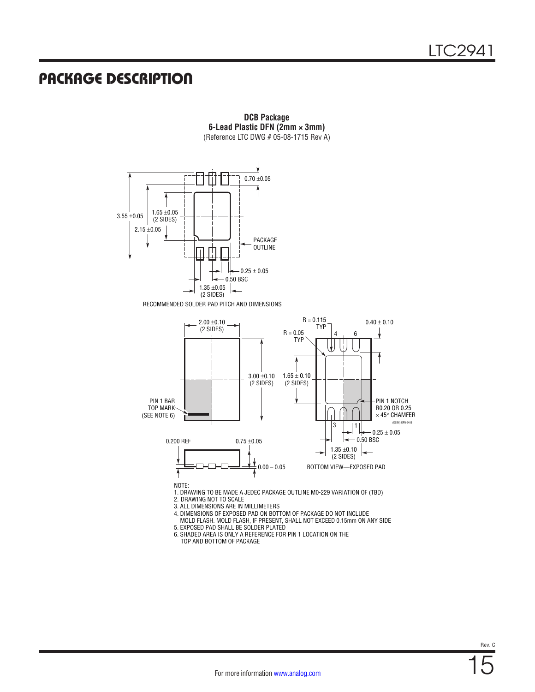### PACKAGE DESCRIPTION



RECOMMENDED SOLDER PAD PITCH AND DIMENSIONS



**DCB Package 6-Lead Plastic DFN (2mm × 3mm)** (Reference LTC DWG # 05-08-1715 Rev A)

1. DRAWING TO BE MADE A JEDEC PACKAGE OUTLINE M0-229 VARIATION OF (TBD)

2. DRAWING NOT TO SCALE

3. ALL DIMENSIONS ARE IN MILLIMETERS

4. DIMENSIONS OF EXPOSED PAD ON BOTTOM OF PACKAGE DO NOT INCLUDE

 MOLD FLASH. MOLD FLASH, IF PRESENT, SHALL NOT EXCEED 0.15mm ON ANY SIDE 5. EXPOSED PAD SHALL BE SOLDER PLATED

6. SHADED AREA IS ONLY A REFERENCE FOR PIN 1 LOCATION ON THE TOP AND BOTTOM OF PACKAGE

Rev. C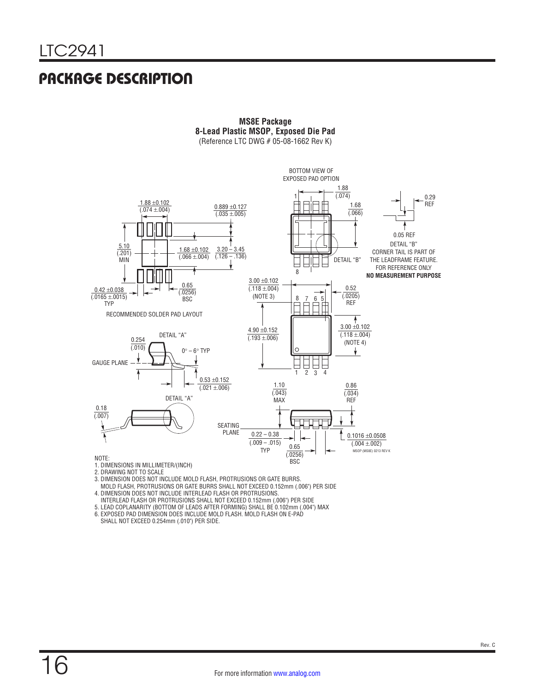### PACKAGE DESCRIPTION



**MS8E Package 8-Lead Plastic MSOP, Exposed Die Pad** (Reference LTC DWG # 05-08-1662 Rev K)

2. DRAWING NOT TO SCALE 3. DIMENSION DOES NOT INCLUDE MOLD FLASH, PROTRUSIONS OR GATE BURRS.

MOLD FLASH, PROTRUSIONS OR GATE BURRS SHALL NOT EXCEED 0.152mm (.006") PER SIDE

4. DIMENSION DOES NOT INCLUDE INTERLEAD FLASH OR PROTRUSIONS.

INTERLEAD FLASH OR PROTRUSIONS SHALL NOT EXCEED 0.152mm (.006") PER SIDE

5. LEAD COPLANARITY (BOTTOM OF LEADS AFTER FORMING) SHALL BE 0.102mm (.004") MAX 6. EXPOSED PAD DIMENSION DOES INCLUDE MOLD FLASH. MOLD FLASH ON E-PAD

SHALL NOT EXCEED 0.254mm (.010") PER SIDE.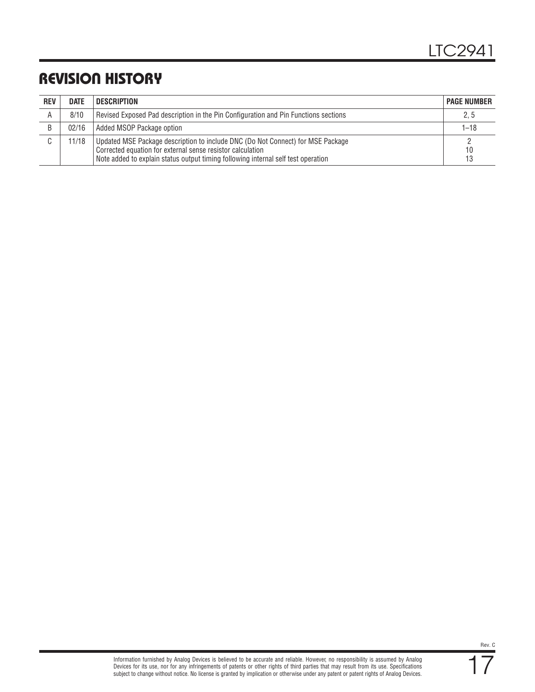## REVISION HISTORY

| <b>REV</b> | <b>DATE</b> | DESCRIPTION                                                                                                                                                                                                                        | <b>PAGE NUMBER</b> |
|------------|-------------|------------------------------------------------------------------------------------------------------------------------------------------------------------------------------------------------------------------------------------|--------------------|
| A          | 8/10        | Revised Exposed Pad description in the Pin Configuration and Pin Functions sections                                                                                                                                                | 2, 5               |
|            | 02/16       | Added MSOP Package option                                                                                                                                                                                                          | $1 - 18$           |
| C.         | 11/18       | Updated MSE Package description to include DNC (Do Not Connect) for MSE Package<br>Corrected equation for external sense resistor calculation<br>Note added to explain status output timing following internal self test operation | 10<br>13           |